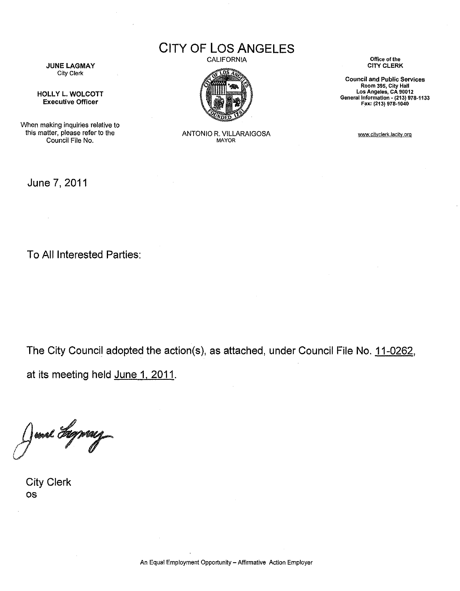CITY OF LOS ANGELES CALIFORNIA



JUNE LAGMAY City Clerk

HOLLY L. WOLCOTT Executive Officer

When making inquiries relative to this matter, please refer to the Council File No.

ANTONIO R. VILLARAIGOSA MAYOR

**Office of the**  CITY CLERK

**Council and Public Services Room 395, City Hall Los Angeles, CA 90012 General Information- (213) 978-1133**  Fax: (213) 978-1040

www.cityclerk.lacity.org

June 7, 2011

To All Interested Parties:

The City Council adopted the action(s), as attached, under Council File No. 11-0262, at its meeting held June 1, 2011.

ma dyray

City Clerk OS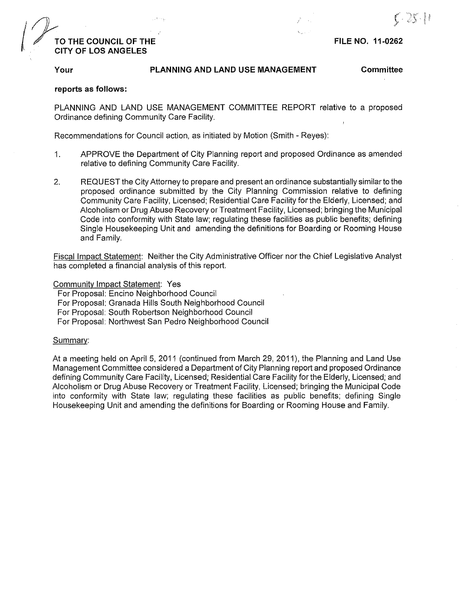# */]J---* . f / **TO THE COUNCIL OF THE** . **CITY OF LOS ANGELES**

### **FILE NO. 11-0262**

#### **Your PLANNING AND LAND USE MANAGEMENT**

**Committee** 

#### **reports as follows:**

PLANNING AND LAND USE MANAGEMENT COMMITTEE REPORT relative to a proposed Ordinance defining Community Care Facility.

Recommendations for Council action, as initiated by Motion (Smith -Reyes):

- 1. APPROVE the Department of City Planning report and proposed Ordinance as amended relative to defining Community Care Facility.
- 2. REQUEST the City Attorney to prepare and present an ordinance substantially similar to the proposed ordinance submitted by the City Planning Commission relative to defining Community Care Facility, Licensed; Residential Care Facility for the Elderly, Licensed; and Alcoholism or Drug Abuse Recovery or Treatment Facility, Licensed; bringing the Municipal Code into conformity with State law; regulating these facilities as public benefits; defining Single Housekeeping Unit and amending the definitions for Boarding or Rooming House and Family.

Fiscal Impact Statement: Neither the City Administrative Officer nor the Chief Legislative Analyst has completed a financial analysis of this report.

Community Impact Statement: Yes

For Proposal: Encino Neighborhood Council

For Proposal: Granada Hills South Neighborhood Council

For Proposal: South Robertson Neighborhood Council

For Proposal: Northwest San Pedro Neighborhood Council

#### Summary:

At a meeting held on April 5, 2011 (continued from March 29, 2011), the Planning and Land Use Management Committee considered a Department of City Planning report and proposed Ordinance defining Community Care Facility, Licensed; Residential Care Facility for the Elderly, Licensed; and Alcoholism or Drug Abuse Recovery or Treatment Facility, Licensed; bringing the Municipal Code into conformity with State law; regulating these facilities as public benefits; defining Single Housekeeping Unit and amending the definitions for Boarding or Rooming House and Family.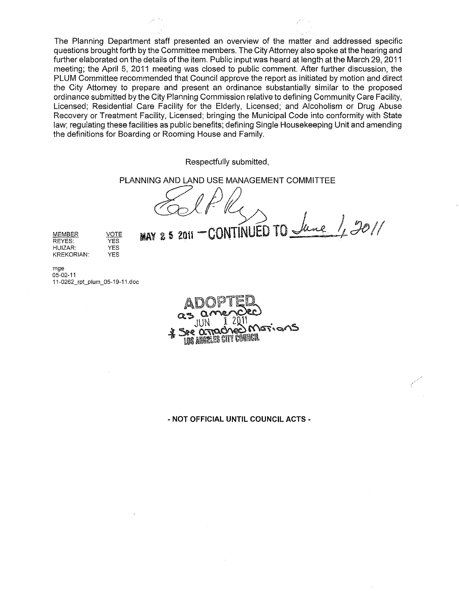The Planning Department staff presented an overview of the matter and addressed specific questions brought forth by the Committee members. The City Attorney also spoke at the hearing and further elaborated on the details of the item. Public input was heard at length at the March 29, 2011 meeting; the April 5, 2011 meeting was closed to public comment. After further discussion, the PLUM Committee recommended that Council approve the report as initiated by motion and direct the City Attorney to prepare and present an ordinance substantially similar to the proposed ordinance submitted by the City Planning Commission relative to defining Community Care Facility, Licensed; Residential Care Facility for the Elderly, Licensed; and Alcoholism or Drug Abuse Recovery or Treatment Facility, Licensed; bringing the Municipal Code into conformity with State law; regulating these facilities as public benefits; defining Single Housekeeping Unit and amending the definitions for Boarding or Rooming House and Family.

Respectfully submitted,

PLANNING AND LAND USE MANAGEMENT COMMITTEE

*c£::1* !Jf?/) I **MAY 2 5 2011 - CONTINUED TO** *June 1, 3011* 

MEMBER REYES: HUIZAR: KREKORIAN:

mge 05-02-11 11-0262\_rpt\_plum\_05-19-11.doc

VOTE YES YES YES

ه ۱۵۳۰ میل **ANGELES CITY COUNCIL** 

**-NOT OFFICIAL UNTIL COUNCIL ACTS** -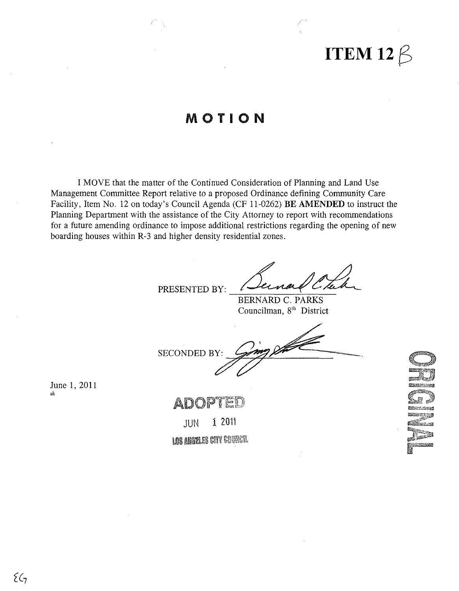# **ITEM 12** $\beta$

# MOTION

I MOVE that the matter of the Continued Consideration of Planning and Land Use Management Committee Report relative to a proposed Ordinance defining Community Care Facility, Item No. 12 on today's Council Agenda (CF 11-0262) BE AMENDED to instruct the Planning Department with the assistance of the City Attorney to report with recommendations for a future amending ordinance to impose additional restrictions regarding the opening of new boarding houses within R-3 and higher density residential zones.

PRESENTED BY:

**BERNARD C. PARKS** Councilman, 8<sup>th</sup> District

2000 SECONDED BY:

June 1, 2011 ak

ADI

1 2011 JUN LOS ANGELES CITY CONNECTI